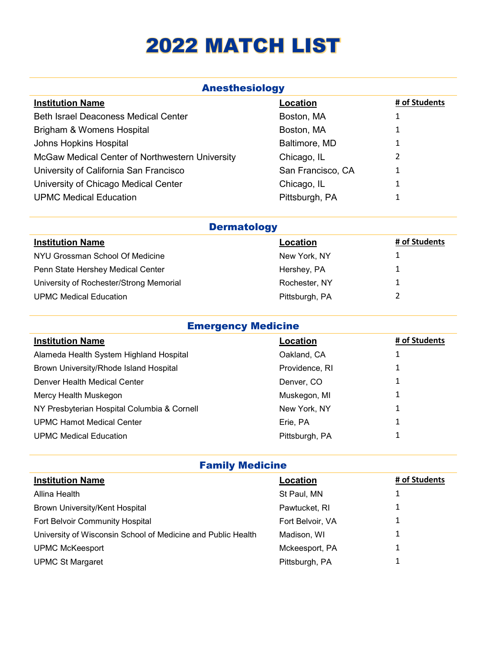## 2022 MATCH LIST

| <b>Anesthesiology</b>                           |                   |               |  |
|-------------------------------------------------|-------------------|---------------|--|
| <b>Institution Name</b>                         | Location          | # of Students |  |
| <b>Beth Israel Deaconess Medical Center</b>     | Boston, MA        | 1             |  |
| Brigham & Womens Hospital                       | Boston, MA        | 1             |  |
| Johns Hopkins Hospital                          | Baltimore, MD     |               |  |
| McGaw Medical Center of Northwestern University | Chicago, IL       | 2             |  |
| University of California San Francisco          | San Francisco, CA | 1             |  |
| University of Chicago Medical Center            | Chicago, IL       |               |  |
| <b>UPMC Medical Education</b>                   | Pittsburgh, PA    |               |  |

| <b>Dermatology</b>                      |                |               |
|-----------------------------------------|----------------|---------------|
| <b>Institution Name</b>                 | Location       | # of Students |
| NYU Grossman School Of Medicine         | New York, NY   |               |
| Penn State Hershey Medical Center       | Hershey, PA    |               |
| University of Rochester/Strong Memorial | Rochester, NY  |               |
| <b>UPMC Medical Education</b>           | Pittsburgh, PA |               |

| <b>Emergency Medicine</b>                   |                |               |
|---------------------------------------------|----------------|---------------|
| <b>Institution Name</b>                     | Location       | # of Students |
| Alameda Health System Highland Hospital     | Oakland, CA    | Ŧ             |
| Brown University/Rhode Island Hospital      | Providence, RI |               |
| Denver Health Medical Center                | Denver, CO     |               |
| Mercy Health Muskegon                       | Muskegon, MI   |               |
| NY Presbyterian Hospital Columbia & Cornell | New York, NY   | 1             |
| <b>UPMC Hamot Medical Center</b>            | Erie, PA       | 1             |
| <b>UPMC Medical Education</b>               | Pittsburgh, PA |               |
|                                             |                |               |

| <b>Family Medicine</b>                                       |                  |               |  |
|--------------------------------------------------------------|------------------|---------------|--|
| <b>Institution Name</b>                                      | Location         | # of Students |  |
| Allina Health                                                | St Paul, MN      |               |  |
| Brown University/Kent Hospital                               | Pawtucket, RI    |               |  |
| Fort Belvoir Community Hospital                              | Fort Belvoir, VA |               |  |
| University of Wisconsin School of Medicine and Public Health | Madison, WI      |               |  |
| <b>UPMC McKeesport</b>                                       | Mckeesport, PA   |               |  |
| <b>UPMC St Margaret</b>                                      | Pittsburgh, PA   |               |  |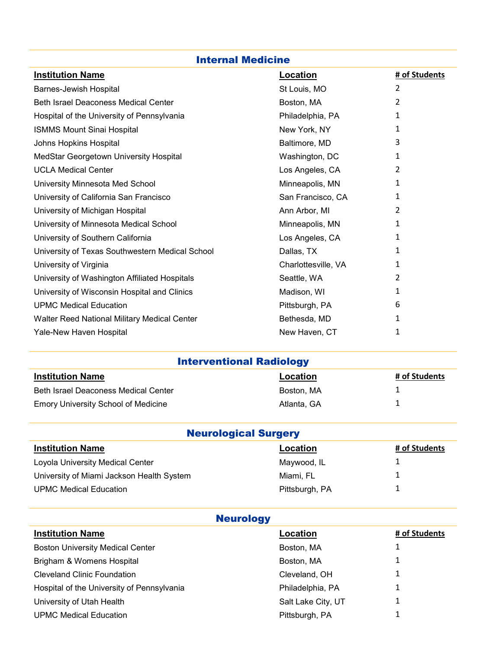| <b>Internal Medicine</b>                        |                     |               |
|-------------------------------------------------|---------------------|---------------|
| <b>Institution Name</b>                         | <b>Location</b>     | # of Students |
| Barnes-Jewish Hospital                          | St Louis, MO        | 2             |
| <b>Beth Israel Deaconess Medical Center</b>     | Boston, MA          | 2             |
| Hospital of the University of Pennsylvania      | Philadelphia, PA    | 1             |
| <b>ISMMS Mount Sinai Hospital</b>               | New York, NY        | 1             |
| Johns Hopkins Hospital                          | Baltimore, MD       | 3             |
| MedStar Georgetown University Hospital          | Washington, DC      | 1             |
| <b>UCLA Medical Center</b>                      | Los Angeles, CA     | 2             |
| University Minnesota Med School                 | Minneapolis, MN     | 1             |
| University of California San Francisco          | San Francisco, CA   | 1             |
| University of Michigan Hospital                 | Ann Arbor, MI       | 2             |
| University of Minnesota Medical School          | Minneapolis, MN     | 1             |
| University of Southern California               | Los Angeles, CA     | 1             |
| University of Texas Southwestern Medical School | Dallas, TX          | 1             |
| University of Virginia                          | Charlottesville, VA | 1             |
| University of Washington Affiliated Hospitals   | Seattle, WA         | 2             |
| University of Wisconsin Hospital and Clinics    | Madison, WI         | 1             |
| <b>UPMC Medical Education</b>                   | Pittsburgh, PA      | 6             |
| Walter Reed National Military Medical Center    | Bethesda, MD        | 1             |
| Yale-New Haven Hospital                         | New Haven, CT       | 1             |
| <b>Interventional Radiology</b>                 |                     |               |
| <b>Institution Name</b>                         | <b>Location</b>     | # of Students |
| <b>Beth Israel Deaconess Medical Center</b>     | Boston, MA          | 1             |
| <b>Emory University School of Medicine</b>      | Atlanta, GA         | 1             |
| <b>Neurological Surgery</b>                     |                     |               |
| <b>Institution Name</b>                         | Location            | # of Students |
| Loyola University Medical Center                | Maywood, IL         | 1             |
| University of Miami Jackson Health System       | Miami, FL           | 1             |
| <b>UPMC Medical Education</b>                   | Pittsburgh, PA      | 1             |
| <b>Neurology</b>                                |                     |               |
| <b>Institution Name</b>                         | Location            | # of Students |
| <b>Boston University Medical Center</b>         | Boston, MA          | 1             |
| Brigham & Womens Hospital                       | Boston, MA          | 1             |
| <b>Cleveland Clinic Foundation</b>              | Cleveland, OH       | 1             |
| Hospital of the University of Pennsylvania      | Philadelphia, PA    | 1             |
| University of Utah Health                       | Salt Lake City, UT  | 1             |

UPMC Medical Education **Pittsburgh, PA** 1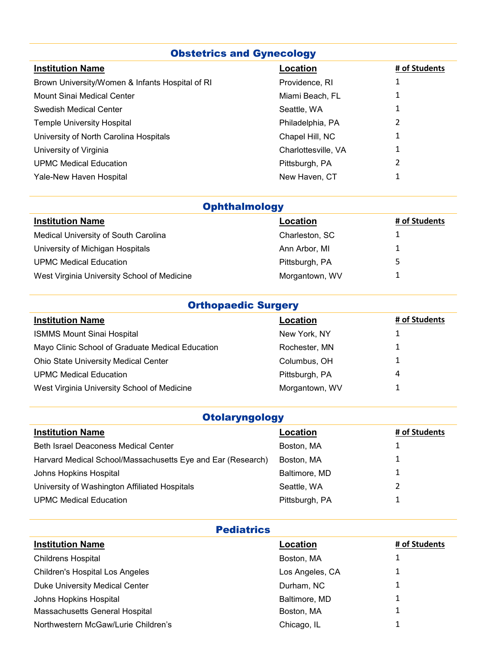| <b>Obstetrics and Gynecology</b>                |                     |               |
|-------------------------------------------------|---------------------|---------------|
| <b>Institution Name</b>                         | Location            | # of Students |
| Brown University/Women & Infants Hospital of RI | Providence, RI      | 1             |
| Mount Sinai Medical Center                      | Miami Beach, FL     |               |
| Swedish Medical Center                          | Seattle, WA         | 1             |
| <b>Temple University Hospital</b>               | Philadelphia, PA    | 2             |
| University of North Carolina Hospitals          | Chapel Hill, NC     |               |
| University of Virginia                          | Charlottesville, VA | 1             |
| <b>UPMC Medical Education</b>                   | Pittsburgh, PA      | 2             |
| Yale-New Haven Hospital                         | New Haven, CT       |               |

| <b>Ophthalmology</b>                        |                |               |
|---------------------------------------------|----------------|---------------|
| <b>Institution Name</b>                     | Location       | # of Students |
| Medical University of South Carolina        | Charleston, SC |               |
| University of Michigan Hospitals            | Ann Arbor, MI  |               |
| <b>UPMC Medical Education</b>               | Pittsburgh, PA |               |
| West Virginia University School of Medicine | Morgantown, WV |               |

| <b>Orthopaedic Surgery</b>                       |                |               |
|--------------------------------------------------|----------------|---------------|
| <b>Institution Name</b>                          | Location       | # of Students |
| <b>ISMMS Mount Sinai Hospital</b>                | New York, NY   |               |
| Mayo Clinic School of Graduate Medical Education | Rochester, MN  |               |
| <b>Ohio State University Medical Center</b>      | Columbus, OH   |               |
| <b>UPMC Medical Education</b>                    | Pittsburgh, PA | 4             |
| West Virginia University School of Medicine      | Morgantown, WV |               |

| <b>Otolaryngology</b>                                       |                |               |  |
|-------------------------------------------------------------|----------------|---------------|--|
| <b>Institution Name</b>                                     | Location       | # of Students |  |
| <b>Beth Israel Deaconess Medical Center</b>                 | Boston, MA     |               |  |
| Harvard Medical School/Massachusetts Eye and Ear (Research) | Boston, MA     |               |  |
| Johns Hopkins Hospital                                      | Baltimore, MD  |               |  |
| University of Washington Affiliated Hospitals               | Seattle, WA    |               |  |
| <b>UPMC Medical Education</b>                               | Pittsburgh, PA |               |  |

| Pediatrics |
|------------|
|------------|

| <b>Pediatrics</b>                      |                 |               |  |
|----------------------------------------|-----------------|---------------|--|
| <b>Institution Name</b>                | Location        | # of Students |  |
| <b>Childrens Hospital</b>              | Boston, MA      |               |  |
| <b>Children's Hospital Los Angeles</b> | Los Angeles, CA |               |  |
| <b>Duke University Medical Center</b>  | Durham, NC      |               |  |
| Johns Hopkins Hospital                 | Baltimore, MD   |               |  |
| Massachusetts General Hospital         | Boston, MA      |               |  |
| Northwestern McGaw/Lurie Children's    | Chicago, IL     | ◢             |  |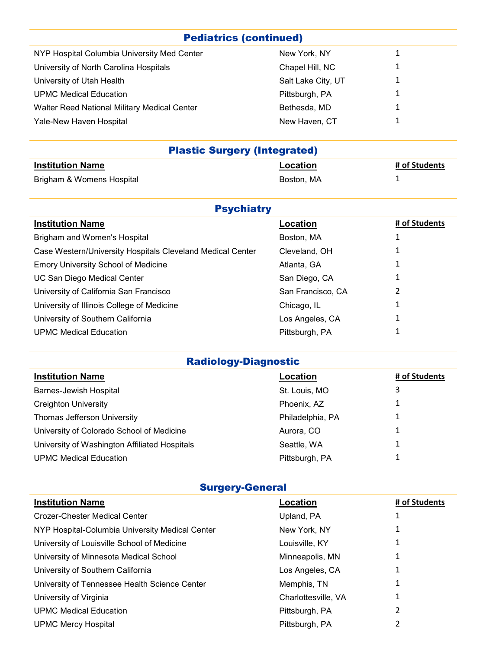## Pediatrics (continued)

| NYP Hospital Columbia University Med Center  | New York, NY       | 1           |
|----------------------------------------------|--------------------|-------------|
| University of North Carolina Hospitals       | Chapel Hill, NC    | 1           |
| University of Utah Health                    | Salt Lake City, UT | 1           |
| <b>UPMC Medical Education</b>                | Pittsburgh, PA     | 1           |
| Walter Reed National Military Medical Center | Bethesda, MD       | 1           |
| Yale-New Haven Hospital                      | New Haven, CT      | $\mathbf 1$ |
|                                              |                    |             |

| <b>Plastic Surgery (Integrated)</b> |            |               |  |
|-------------------------------------|------------|---------------|--|
| <b>Institution Name</b>             | Location   | # of Students |  |
| Brigham & Womens Hospital           | Boston. MA |               |  |

| <b>Psychiatry</b>                                          |                   |               |  |  |
|------------------------------------------------------------|-------------------|---------------|--|--|
| <b>Institution Name</b>                                    | Location          | # of Students |  |  |
| Brigham and Women's Hospital                               | Boston, MA        | 1             |  |  |
| Case Western/University Hospitals Cleveland Medical Center | Cleveland, OH     | 1             |  |  |
| <b>Emory University School of Medicine</b>                 | Atlanta, GA       | 1             |  |  |
| UC San Diego Medical Center                                | San Diego, CA     | 1             |  |  |
| University of California San Francisco                     | San Francisco, CA | 2             |  |  |
| University of Illinois College of Medicine                 | Chicago, IL       | 1             |  |  |
| University of Southern California                          | Los Angeles, CA   | 1             |  |  |
| <b>UPMC Medical Education</b>                              | Pittsburgh, PA    | 1             |  |  |

## Radiology-Diagnostic

| <b>Institution Name</b>                       | Location         | # of Students |
|-----------------------------------------------|------------------|---------------|
| <b>Barnes-Jewish Hospital</b>                 | St. Louis, MO    | 3             |
| <b>Creighton University</b>                   | Phoenix, AZ      |               |
| Thomas Jefferson University                   | Philadelphia, PA |               |
| University of Colorado School of Medicine     | Aurora, CO       |               |
| University of Washington Affiliated Hospitals | Seattle, WA      |               |
| <b>UPMC Medical Education</b>                 | Pittsburgh, PA   |               |

## Surgery-General

| <b>Institution Name</b>                         | Location            | # of Students |
|-------------------------------------------------|---------------------|---------------|
| <b>Crozer-Chester Medical Center</b>            | Upland, PA          |               |
| NYP Hospital-Columbia University Medical Center | New York, NY        |               |
| University of Louisville School of Medicine     | Louisville, KY      |               |
| University of Minnesota Medical School          | Minneapolis, MN     |               |
| University of Southern California               | Los Angeles, CA     |               |
| University of Tennessee Health Science Center   | Memphis, TN         |               |
| University of Virginia                          | Charlottesville, VA |               |
| <b>UPMC Medical Education</b>                   | Pittsburgh, PA      | 2             |
| <b>UPMC Mercy Hospital</b>                      | Pittsburgh, PA      |               |